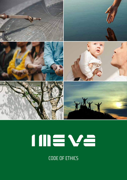

# **IMEVE**

**CODE OF ETHICS**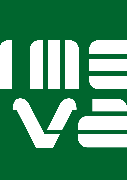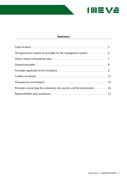

## **Summary**

| Principles concerning the community, the society, and the environment  16 |  |
|---------------------------------------------------------------------------|--|
|                                                                           |  |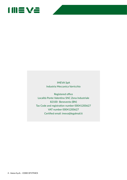

IMEVA SpA Industria Meccanica Varricchio

Registered office Località Ponte Valentino SNC Zona Industriale 82100- Benevento (BN) Tax Code and registration number 00041200627 VAT number 00041200627 Certified email: imeva@legalmail.it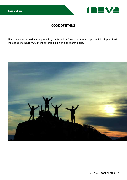



## **CODE OF ETHICS**

This Code was desired and approved by the Board of Directors of Imeva SpA, which adopted it with the Board of Statutory Auditors' favorable opinion and shareholders.

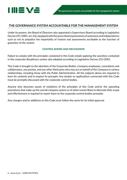

## **THE GOVERNANCE SYSTEM ACCOUNTABLE FOR THE MANAGEMENT SYSTEM**

Under its powers, the Board of Directors also appointed a Supervisory Board according to Legislative Decree 231/2001, art. 6 b), equipped with the prescribed requirements of autonomy and independence such as not to prejudice the impartiality of choices and assessments ascribable to the function of guarantor of the system

#### **CONTROL BODIES AND MECHANISMS**

Failure to comply with the principles contained in this Code entails applying the sanctions contained in the corporate disciplinary system also adopted according to Legislative Decree 231/2001.

This Code is brought to the attention of the Corporate Bodies, Company employees, consultants and collaborators, any proxies, and any other third party who may act on behalf of the Company in various relationships, including those with the Public Administration. All the subjects above are required to learn its contents and to respect its precepts. Any doubts on applications connected with this Code must be promptly discussed with the corporate control bodies.

Anyone who becomes aware of violations of the principles of this Code and/or the operating procedures that make up the overall company system or of other events likely to alternate their scope and effectiveness is required to report them to the corporate control bodies promptly.

Any changes and/or additions to this Code must follow the same for its initial approval.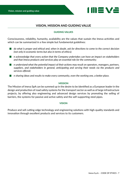

## **VISION, MISSION AND GUIDING VALUE**

#### **GUIDING VALUES**

Consciousness, reliability, humanity, availability are the values that sustain the Imeva activities and which can be summarized in a few simple but fundamental guidelines:

- do what is proper and ethical and, when in doubt, ask for directions to come to the correct decision *(not only in economic terms but also in terms of ethics);*
- *n* acknowledge that every action that the Company undertakes can have an impact on stakeholders *and that Imeva products and services play an essential role for the community;*
- *n understand what the potential impact of their actions may result on operators, managers, partners, suppliers, and stakeholders in general, anticipating and serving their needs via the products and services offered;*
- *n sharing ideas and results to make every community, even the working one, a better place.*

#### **MISSION**

The Mission of Imeva SpA can be summed up in the desire to be identified as a European leader in the design and production of road safety systems for the transport sector as well as of large infrastructure projects, by offering also engineering and advanced design services by promoting the selling of barriers, the systems for passive and active safety and the self-supporting steel pipes.

#### **VISION**

Produce and sell cutting-edge technology and engineering solutions with high-quality standards and innovation through excellent products and services to its customers.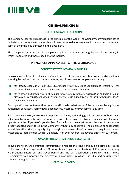

## **GENERAL PRINCIPLES**

#### **RESPECT LAWS AND REGULATIONS**

The Company inspires its business to the principles of this Code. The Company commits itself not to undertake or continue any relationship with anyone who demonstrates not to share the content and spirit of the principles expressed in this document.

The Company has an essential principle: compliance with laws and regulations of the country in which it operates and those specific to the industry.

## **PRINCIPLES APPLICABLE TO THE WORKPLACE**

## **CONSISTENCY WITH COMPANY POLICIES**

Employees or collaborators of Imeva SpA must stand by all Company operating policies and procedures, adopting behaviors consistent with promoting equal treatment on employment through:

- *the acknowledgment of individual qualifications/skills/experience as reference criteria for the recruitment, placement, training, and improvement of human resources;*
- the rejection and prevention, at all company levels, of any form of discrimination or abuse based on *race, color, sex, sexual orientation, religion, political ideas, national origin or social background, health conditions, or handicap.*

Each operation and/or transaction, understood in the broadest sense of the term, must be legitimate, authorized, consistent, harmonious, documented, recorded, and verifiable at any time.

Each company person, or external Company consultants, purchasing goods or services or both, must act in compliance with the following principles: correctness, cost-effectiveness, quality, lawfulness and operate with the diligence of a good father of a family, and they must respect the specific procedures already adopted and in force in the Company, without any exception. The employee or collaborator who violates this principle is guilty of gross negligence towards the Company, exposing it to economic losses and to inefficiencies which - ultimately - can even reverberate adverse effects on customers.

#### **HUMAN RIGHTS AND FAIR LABOUR STANDARDS**

Imeva aims to ensure continued commitment to respect the values and guiding principles related to human rights as expressed in ILO conventions (Tripartite Declaration of Principles concerning Multinational Enterprises and Social Policy) and the UN Declaration on Human Rights. Imeva is committed to supporting the progress of human rights by what is possible and desirable for a commercial organization.

#### **HEALTH AND SAFETY**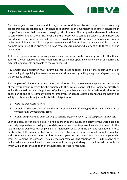

Each employee is permanently and, in any case, responsible for the strict application of company procedures and reasonable rules of conduct to guarantee the maintenance of safety conditions in the performance of their work and managing risk situations. The progressive decrease in attention to safety rules entails severe risks: over time, their observance can be perceived as an unnecessary disturbance, in the presumption that the risk, in consideration of the acquired professionalism, is now under control. It is essential that top management - and first of all sector managers - also act as an example in this area, thus preventing human resources from paying due attention to these rules and procedures.

All Imeva employees must be actively involved and participate in the Company Policy for Health and Safety in the workplace and the Environment. These policies apply in compliance with all internal and external requirements applicable to the work context.

Any employee/collaborator must inform his/her direct superior if he or she becomes aware of shortcomings in applying the rules or encounters risks caused by lacking adequate safeguards during the company activity.

Each employee/collaborator of Imeva must be informed about the emergency plans and procedures of the environment in which he/she operates. In the unlikely event that the Company, directly or indirectly, should cause any hypothesis of pollution, whether accidentally or maliciously, due to the behaviour of one of its company persons (employees or collaborators), endangering the health and safety of others, each subject will entail the obligation to:

- *1. follow the procedures in force;*
- *2. transmit all the necessary information to those in charge of managing Health and Safety in the workplace and environmental issues;*
- *3. respond in a precise and objective way to possible inquiries opened by the competent authorities.*

Each company person plays a decisive role in ensuring the quality and safety of the workplace and is equally responsible for taking appropriate countermeasures to prevent accidents at work. In this regard, Imeva SpA measures complying, in all material respects, with the laws and regulations in force on the subject. It is required that every employee/collaborator - none excluded - adopt a proactive and cooperative behavior aimed at all other employees and customers, suppliers, and anyone who works or is visiting the Company. The existence of unsafe working conditions must, in the eventuality, be immediately communicated to one's superior in writing and, always, to the internal control body, which will monitor the adoption of the necessary corrective measures.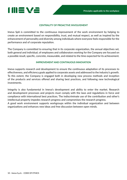

#### **CENTRALITY OF PROACTIVE INVOLVEMENT**

Imeva SpA is committed to the continuous improvement of the work environment by helping to create an environment based on responsibility, trust, and mutual respect, as well as inspired by the enhancement of personality and diversity among individuals where everyone feels responsible for the performance and of corporate reputation.

The Company is committed to ensuring that in its corporate organization, the annual objectives set, both general and individual, of employees and collaborators working for the Company are focused on a possible result, specific, concrete, measurable, and related to the time expected for its achievement.

#### **IMPROVEMENT AND CONTINUOUS INNOVATION**

Imeva supports research and development to ensure the continuous adaptation of its processes to effectiveness, and efficiency goals applied to corporate assets and addressed to the industry's growth. To this extent, the Company is engaged both in developing new process methods and inception of the products and services offered and sharing best practices, and following new technological investments.

Integrity is also fundamental in Imeva's development and ability to enter the market. Research and development processes and projects must comply with the laws and regulations in force and compliance with international best practices. The indiscriminate use of the contribution and other's intellectual property impedes research progress and compromises the research progress.

A good work environment supports workgroups within the individual organization and between organizations and enhances new ideas and free discussion between open minds.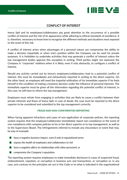

## **CONFLICT OF INTEREST**

Imeva SpA and its employees/collaborators pay great attention to the occurrence of a possible conflict of interest and the risk of its appearance while adhering to ethical standards of excellence. It is, therefore, necessary to know how to recognize the different methods and situations most exposed to the onset of this risk.

A conflict of interest arises when advantages of a personal nature can compromise the ability to make a decision impartially or when one's position within the Company can be used for private purposes. It is forbidden to undertake activities that may generate a conflict of interest unless the top management bodies approve this exception in writing. Third parties might not represent the Company in "corporate" relations when it is likely, even if only abstractly, to configure a conflict of interest.

Should any activity carried out by Imeva's employees/collaborators lead to a potential conflict of interest, this must be immediately and exhaustively reported in writing to the direct superior. On the other hand, an employee will need the impartial arbitration of his immediate superior if he finds himself in the condition of making a business decision under the influence of personal interests. The immediate superior must be given all the information regarding the potential conflict of interest; in this case, he will have to inform the top management.

Employees must refrain from engaging in activities that are likely to cause a conflict between their private interests and those of Imeva SpA; in case of doubt, the case must be reported to the direct superior to be considered and submitted to the top management correctly.

#### **FRAUD AND NON-CONFORMITIES REPORTING**

When facing apparent infractions and cases of non-application of corporate policies, the reporting system requires that the employee/collaborator immediately report non-compliance or the event of non-compliance with company policies to his or her direct superior or to top management, as well as to the Supervisory Board. The infringements referred to include any misconduct or event that may, by way of example:

- *have a negative business impact, even if only in reputational terms*
- *expose the health of employees and collaborators to risk*
- *have a negative effect on relationships with other personnel; or*
- *compromise the Company's reputation.*

The reporting system requires employees to make immediate disclosure in cases of suspected fraud, embezzlement, nepotism, or corruption in business acts and transactions, or corruption or, in any case, acts contrary to the principles set out in this Code or to what is indicated in the organizational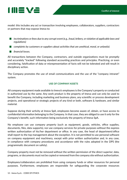

model: this includes any act or transaction involving employees, collaborators, suppliers, contractors or partners that may expose Imeva to:

- *incriminations or fines due to any corrupt event (e.g., fraud, bribery, or violation of applicable laws and regulations)*
- *complaints by customers or suppliers about activities that are unethical, moral, or unlawful;*
- *financial losses.*

All transactions between the Company, contractors, and outside organizations must be promptly and accurately "tracked" following standard accounting practices and principles. Practicing, or even considering, falsification of data or misrepresentation of facts will not be tolerated and will result in disciplinary action.

The Company promotes the use of email communications and the use of the "company intranet" system.

## **USE OF COMPANY ASSETS**

All company equipment made available to Imeva's employees is the Company's property or conducted in authorized use by the same. Any work product is the property of Imeva and can only be used to benefit the Company, including marketing and business plans, any scientific or process development projects, and operational or strategic projects of any kind or both, software & hardware, and similar material.

Suppose during their activity at Imeva SpA, employees become aware of, obtain, or have access to confidential information belonging to the Company. In that case, they are obliged to use it only for the Company's benefit, such information being exclusively the property of Imeva SpA.

No employee can use company property (such as equipment, goods, vehicles, office supplies, documents, files, data supports), nor use company services for private purposes without the express written authorization of his/her department or office. In any case, the head of department/office shall report to the top management about the exception. It is not permitted to use personal software on company equipment and machinery, except with prior written authorization and, in any case, in compliance with company procedures and accordance with the rules adopted in the DPS (the programmatic document on safety).

Company property must not be removed without the written permission of the direct superior; data, programs, or documents must not be copied or removed from the company site without authorization.

Employees/collaborators are prohibited from using company funds or other resources for personal purposes. Furthermore, employees are responsible for safeguarding the corporate resources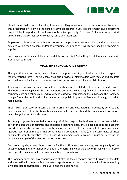

placed under their control, including information. They must keep accurate records of the use of these resources by following the administrative procedures in use. It is the employee/collaborator's responsibility to report any impediments to this effect promptly. Employees/collaborators must at all times ensure the correct use of company funds and resources.

Employees/collaborators are prohibited from using company assets to determine situations of personal privilege within the Company and/or to determine conditions of privilege for specific customers or suppliers.

Each expense must be carefully noted and duly documented. Submitting fraudulent expense reports is seriously punished.

# **TRANSPARENCY AND INTEGRITY**

The operations carried out by Imeva adhere to the principles of good business conduct accepted at the international level. The Company shall also provide all stakeholders with regular and accurate information about activities, corporate structure, performance, and its financial situation.

Transparency means that any information publicly available related to Imeva is true and correct. This transparency applies to the official reports and those containing financial statements or other corporate communications required by law addressed to shareholders, the public, and the Company that performs the audit and all information made public in press conferences, briefings, and data made public.

In particular, transparency means that all information and data relating to company services and processes provided to institutional bodies responsible for controls and the issuing of authorizations must always be truthful and correct.

According to generally accepted accounting principles, responsible business decisions can be taken only in the presence of accurate and auditable accounting data. Imeva does not consider data that distorts or conceals the true nature of business transactions. It is necessary to keep a proper and rigorous record of all the data that do not have an accounting nature (e.g., personal data, business documents, security statistics, etc.). All cash disbursements and movements must be solely for the purpose envisaged of the relevant authorization only.

Each company department is responsible for the truthfulness, authenticity, and originality of the documentation and information provided in the performance of the activity for which it is reliable. Each operator is responsible for his or her sphere of operations.

The Company condemns any conduct aimed at altering the correctness and truthfulness of the data and information in the financial statements, reports, or other corporate communications required by law addressed to shareholders, the public, and the auditing firm.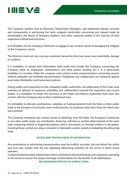

The Company requires that its Directors, Department Managers, and employees behave correctly and transparently in performing the tasks assigned, particularly concerning any request made by shareholders, the Board of Statutory Auditors, and other corporate bodies in the exercise of their respective institutional functions.

It is forbidden for the Company's Directors to engage in any conduct aimed at damaging the integrity of the Company's assets.

The Directors must not carry out any corporate transaction that may cause, even potentially, damage to creditors.

It is forbidden to spread false information both inside and outside the Company, concerning the Company itself, its employees, collaborators, and third parties working for it. It is particularly forbidden to circulate within the company news and/or verbal communications concerning anyone without adequate and verifiable documentation. Employees and collaborators are cautioned against exercising intimidation and harassment policies.

During audits and inspections by the competent public authorities, the addressees of this Code must maintain an attitude of maximum availability and collaboration towards the inspection and control bodies. It is forbidden to hinder the functions of the Public Surveillance Authorities that come into contact with the Company due to their institutional roles.

It is forbidden to allocate contributions, subsidies, or funding obtained from the State or other public body or the European Community, even small amounts, for purposes other than those for which they were granted.

The Company condemns any conduct aimed at obtaining, from the State, the European Community or any other public body, any contribution, financing, soft loan or another disbursement of the same type, employing altered or forged declarations and/or documents, or through artifices or deception, including those carried out using a computer or telematics system, aimed at misleading the disbursing body.

#### **ACCESS AND TRUTHFULNESS OF INFORMATION**

Any promotional or advertising communication must be truthful, accurate, and not distort the reality and must also comply with the law regulating advertising activities for the sector in which Imeva operates.

Cordial and disinterested relationships will be maintained with professionals and companies operating in the sector to ensure the proper exchange of information for the benefit of all stakeholders.

**RELATIONSHIPS WITHIN THE SUPPLY-CHAIN**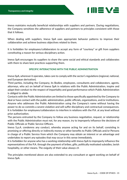

Imeva maintains mutually beneficial relationships with suppliers and partners. During negotiations, the Company sensitizes the adherence of suppliers and partners to principles consistent with those that it follows.

When dealing with suppliers, Imeva SpA uses appropriate behavior patterns to improve their collaboration and achieve business objectives related to them.

It is forbidden for employees/collaborators to accept any form of "courtesy" or gift from suppliers constituting a reason for serious disciplinary action.

Imeva SpA encourages its suppliers to share the same social and ethical standards and collaborates with them to share best practices supporting them.

#### **SPECIFIC INTERACTIONS WITH THE PUBLIC ADMINISTRATION**

Imeva SpA, wherever it operates, takes care to comply with the sector's regulations (regional, national, and European derivation).

Third parties, including the Company, its Bodies, employees, consultants and collaborators, agents, attorneys, who act on behalf of Imeva SpA in relations with the Public Administration, inspire and adapt their conduct to the respect of impartiality and good performance which Public Administration is obliged to abide.

Contacts with the Public Administration are limited to those specifically appointed by the Company to deal or have contact with the public administration, public officials, organizations, and/or institutions. Anyone who addresses the Public Administration using the Company's name without having the power to do so commits a severe violation and will suffer disciplinary and contractual consequences. It is forbidden for employees/collaborators to interfere in relations with the P.A. at any level without prior authorization.

The persons entrusted by the Company to follow any business negotiation, request, or relationship with the Public Administration must not, for any reason, try to improperly influence the decisions of Public Officials or Public Service Officers.

Imeva S.p.A. condemns any conduct, whereby anyone acting for and on its behalf, consisting in promising or offering directly or indirectly money or other benefits to Public Officials and/or Persons in charge of a Public Service from which the Company may obtain an interest or an advantage and undertakes to report any episodes that may occur in this sense immediately.

It is forbidden for anyone who has a working relationship with Imeva SpA to improperly influence the representatives of the P.A. through the payment of bribes, gifts, politically motivated subsidies, lavish hospitality, or other means. The exiguity of their value always ch

The principles mentioned above are also extended to any consultant or agent working on behalf of Imeva SpA.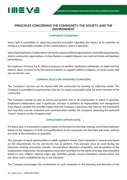

## **PRINCIPLES CONCERNING THE COMMUNITY, THE SOCIETY, AND THE ENVIRONMENT**

#### **CORPORATE CITIZENSHIP**

Imeva SpA is committed to observing practical principles regarding the impact of its activities by acting as a responsible member of the communities in which it operates.

Imeva SpA employees/collaborators can freely support political organizations, charitable organizations, and/or community organizations. A clear division is sought between non-work activities and business performance.

No employee of Imeva S.p.A. shall put pressure on another employee/collaborator to make him/her express views contrary to his/her personal beliefs or support political, religious, or social causes that are not his/her own.

#### **COMPANY POLICY ON CHARITABLE DONATIONS**

The Company's success can be shared with the community by meeting its collective needs. The Company is committed to partnerships that aim to create sustainable value for every member of the community.

The Company intends to play an active and positive role in all communities in which it operates. Employees/collaborators and, in particular, persons in positions of responsibility and management must always consider the possible impact that the Company's decisions may have on the community and how they may be evaluated and communicated outside the Company, assessing the potential "return" impacts on the Company itself.

#### **EMPLOYMENT OPPORTUNITIE**

For Imeva SpA, it is essential to support a policy of diversity by selecting, training, and hiring employees based on the adequacy of skills and qualifications to the corporate role that they will cover, without any form of discrimination or prejudice.

The principle of equal opportunities is validly applied in Imeva. Each individual is treated only based on the requirements for the job he/she has to perform. This principle must be used during the interview, training, promotion, transfer, remuneration, allocation of benefits, and termination of the employment relationship. No derogations have been provided for the above principle. Discrimination based on race, religion, national origin, age, disability, gender, sexual orientation, marital status, and any other factor prohibited by law is not tolerated.

The Company encourages the involvement of each employee in the planning and direction of the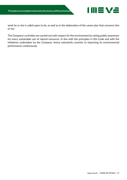

work he or she is called upon to do, as well as in the elaboration of the career plan that concerns him or her.

The Company's activities are carried out with respect for the environment by raising public awareness for every sustainable use of natural resources. In line with the principles in this Code and with the initiatives undertaken by the Company, Imeva voluntarily commits to improving its environmental performance continuously.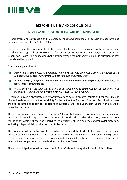

## **RESPONSIBILITIES AND CONCLUSIONS**

#### **IMEVA SPA'S OBJECTIVE: AN ETHICAL WORKING ENVIRONMENT**

All employees and contractors of the Company must familiarize themselves with the contents and proper application of this Code of Ethics.

Each resource of the Company should be responsible for ensuring compliance with the policies and standards relating to his or her work and for seeking assistance from a manager, supervisor, or the Supervisory Board if he or she does not fully understand the Company's policies in question or how they should be applied.

Senior management must:

- **E** ensure that all employees, collaborators, and individuals who otherwise work in the interest of the *Company have access to all current Company policies and procedures;*
- *respond promptly and professionally to any doubt or problem raised by employees, collaborators, and consultants regarding ethics;*
- *display exemplary behavior that can also be followed by other employees and collaborators to be identified in a mentoring relationship by those subject to their direction.*

Human Resources is encouraged to report if violations occur promptly. Doubts and concerns may be directed to those with direct responsibility for the matter, the Function Managers. Function Managers are also obligated to report to the Board of Directors and the Supervisory Board in the event of unresolved violations.

These reports must be made in writing. Imeva SpA does not allow any form of harassment or intimidation of any employee who reports a possible breach in good faith. On the other hand, severe sanctions will be taken against those who should try to denigrate other employees and/or collaborators by indicating alleged violations that turn out to be false.

The Company instructs all recipients to read and understand this Code of Ethics and the policies and procedures involving their department or office. There is no Code of Ethics that covers every possible circumstance, so it may be necessary to use additional guidelines for proper conduct; all recipients must actively cooperate to achieve business ethics at its finest.

There is an obligation to follow the content of this Code and the spirit with which it is written.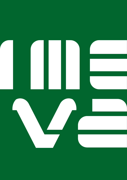